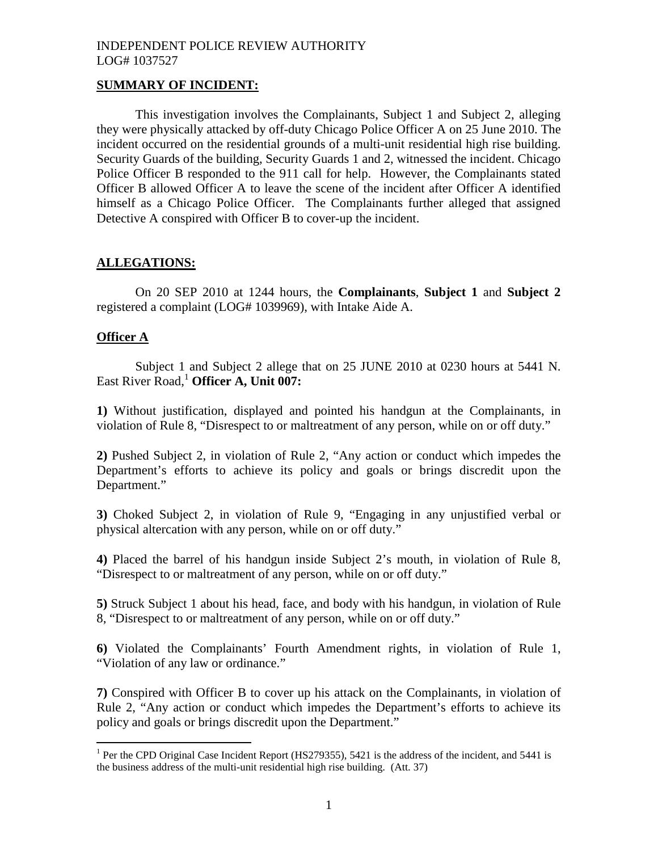## **SUMMARY OF INCIDENT:**

This investigation involves the Complainants, Subject 1 and Subject 2, alleging they were physically attacked by off-duty Chicago Police Officer A on 25 June 2010. The incident occurred on the residential grounds of a multi-unit residential high rise building. Security Guards of the building, Security Guards 1 and 2, witnessed the incident. Chicago Police Officer B responded to the 911 call for help. However, the Complainants stated Officer B allowed Officer A to leave the scene of the incident after Officer A identified himself as a Chicago Police Officer. The Complainants further alleged that assigned Detective A conspired with Officer B to cover-up the incident.

## **ALLEGATIONS:**

On 20 SEP 2010 at 1244 hours, the **Complainants**, **Subject 1** and **Subject 2** registered a complaint (LOG# 1039969), with Intake Aide A.

## **Officer A**

Subject 1 and Subject 2 allege that on 25 JUNE 2010 at 0230 hours at 5441 N. East River Road,<sup>[1](#page-0-0)</sup> Officer A, Unit 007:

**1)** Without justification, displayed and pointed his handgun at the Complainants, in violation of Rule 8, "Disrespect to or maltreatment of any person, while on or off duty."

**2)** Pushed Subject 2, in violation of Rule 2, "Any action or conduct which impedes the Department's efforts to achieve its policy and goals or brings discredit upon the Department."

**3)** Choked Subject 2, in violation of Rule 9, "Engaging in any unjustified verbal or physical altercation with any person, while on or off duty."

**4)** Placed the barrel of his handgun inside Subject 2's mouth, in violation of Rule 8, "Disrespect to or maltreatment of any person, while on or off duty."

**5)** Struck Subject 1 about his head, face, and body with his handgun, in violation of Rule 8, "Disrespect to or maltreatment of any person, while on or off duty."

**6)** Violated the Complainants' Fourth Amendment rights, in violation of Rule 1, "Violation of any law or ordinance."

**7)** Conspired with Officer B to cover up his attack on the Complainants, in violation of Rule 2, "Any action or conduct which impedes the Department's efforts to achieve its policy and goals or brings discredit upon the Department."

<span id="page-0-0"></span><sup>&</sup>lt;sup>1</sup> Per the CPD Original Case Incident Report (HS279355), 5421 is the address of the incident, and 5441 is the business address of the multi-unit residential high rise building. (Att. 37)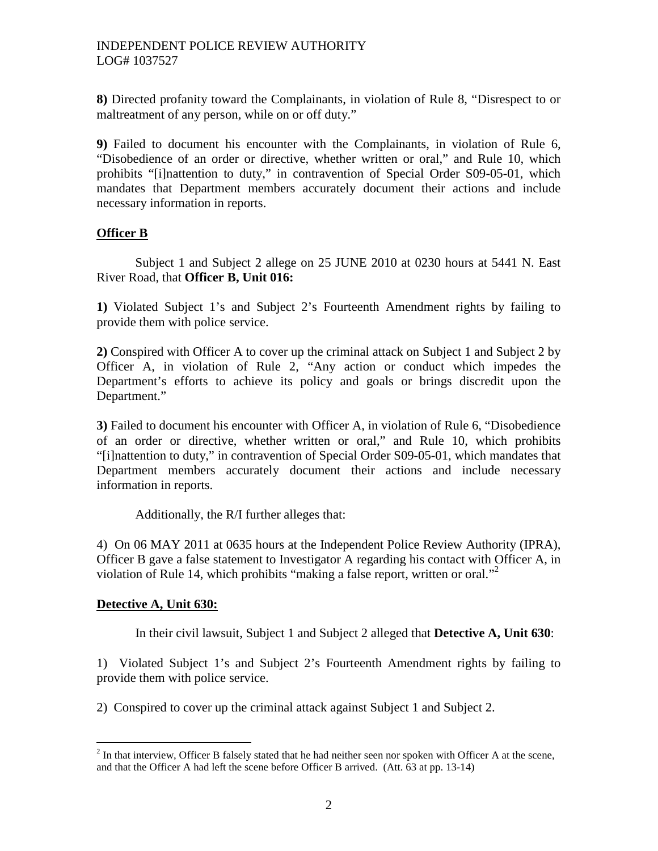**8)** Directed profanity toward the Complainants, in violation of Rule 8, "Disrespect to or maltreatment of any person, while on or off duty."

**9)** Failed to document his encounter with the Complainants, in violation of Rule 6, "Disobedience of an order or directive, whether written or oral," and Rule 10, which prohibits "[i]nattention to duty," in contravention of Special Order S09-05-01, which mandates that Department members accurately document their actions and include necessary information in reports.

# **Officer B**

Subject 1 and Subject 2 allege on 25 JUNE 2010 at 0230 hours at 5441 N. East River Road, that **Officer B, Unit 016:**

**1)** Violated Subject 1's and Subject 2's Fourteenth Amendment rights by failing to provide them with police service.

**2)** Conspired with Officer A to cover up the criminal attack on Subject 1 and Subject 2 by Officer A, in violation of Rule 2, "Any action or conduct which impedes the Department's efforts to achieve its policy and goals or brings discredit upon the Department."

**3)** Failed to document his encounter with Officer A, in violation of Rule 6, "Disobedience of an order or directive, whether written or oral," and Rule 10, which prohibits "[i]nattention to duty," in contravention of Special Order S09-05-01, which mandates that Department members accurately document their actions and include necessary information in reports.

Additionally, the R/I further alleges that:

4) On 06 MAY 2011 at 0635 hours at the Independent Police Review Authority (IPRA), Officer B gave a false statement to Investigator A regarding his contact with Officer A, in violationof Rule 14, which prohibits ["](#page-1-0)making a false report, written or oral."

# **Detective A, Unit 630:**

In their civil lawsuit, Subject 1 and Subject 2 alleged that **Detective A, Unit 630**:

1) Violated Subject 1's and Subject 2's Fourteenth Amendment rights by failing to provide them with police service.

2) Conspired to cover up the criminal attack against Subject 1 and Subject 2.

<span id="page-1-0"></span> $2^{2}$  In that interview, Officer B falsely stated that he had neither seen nor spoken with Officer A at the scene, and that the Officer A had left the scene before Officer B arrived. (Att. 63 at pp. 13-14)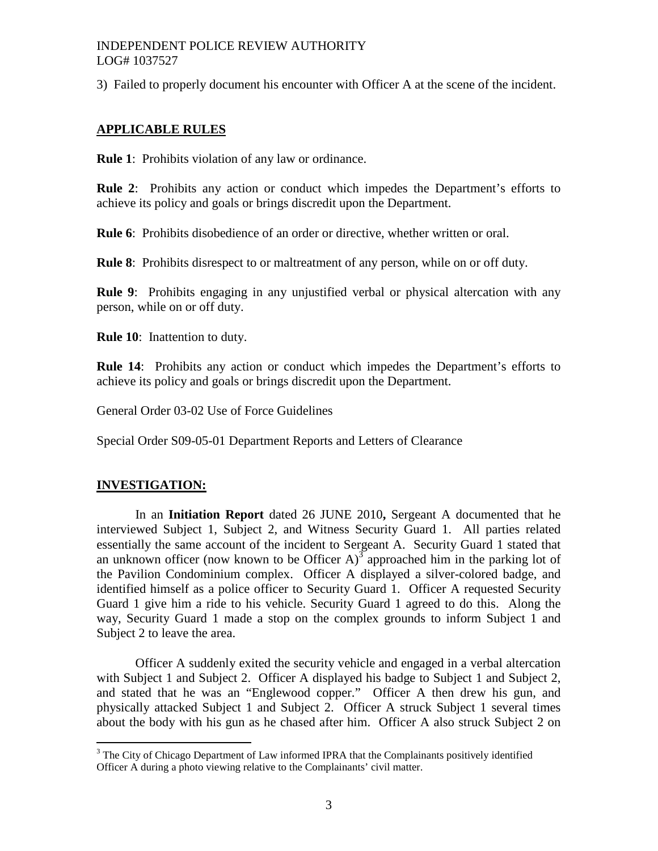3) Failed to properly document his encounter with Officer A at the scene of the incident.

## **APPLICABLE RULES**

**Rule 1**: Prohibits violation of any law or ordinance.

**Rule 2**: Prohibits any action or conduct which impedes the Department's efforts to achieve its policy and goals or brings discredit upon the Department.

**Rule 6**: Prohibits disobedience of an order or directive, whether written or oral.

**Rule 8**: Prohibits disrespect to or maltreatment of any person, while on or off duty.

**Rule 9:** Prohibits engaging in any unjustified verbal or physical altercation with any person, while on or off duty.

**Rule 10**: Inattention to duty.

**Rule 14**: Prohibits any action or conduct which impedes the Department's efforts to achieve its policy and goals or brings discredit upon the Department.

General Order 03-02 Use of Force Guidelines

Special Order S09-05-01 Department Reports and Letters of Clearance

## **INVESTIGATION:**

In an **Initiation Report** dated 26 JUNE 2010**,** Sergeant A documented that he interviewed Subject 1, Subject 2, and Witness Security Guard 1. All parties related essentially the same account of the incident to Sergeant A. Security Guard 1 stated that anunknown officer (now known to be Officer  $A$ )<sup>3</sup> approached him in the parking lot of the Pavilion Condominium complex. Officer A displayed a silver-colored badge, and identified himself as a police officer to Security Guard 1. Officer A requested Security Guard 1 give him a ride to his vehicle. Security Guard 1 agreed to do this. Along the way, Security Guard 1 made a stop on the complex grounds to inform Subject 1 and Subject 2 to leave the area.

Officer A suddenly exited the security vehicle and engaged in a verbal altercation with Subject 1 and Subject 2. Officer A displayed his badge to Subject 1 and Subject 2, and stated that he was an "Englewood copper." Officer A then drew his gun, and physically attacked Subject 1 and Subject 2. Officer A struck Subject 1 several times about the body with his gun as he chased after him. Officer A also struck Subject 2 on

<span id="page-2-0"></span><sup>&</sup>lt;sup>3</sup> The City of Chicago Department of Law informed IPRA that the Complainants positively identified Officer A during a photo viewing relative to the Complainants' civil matter.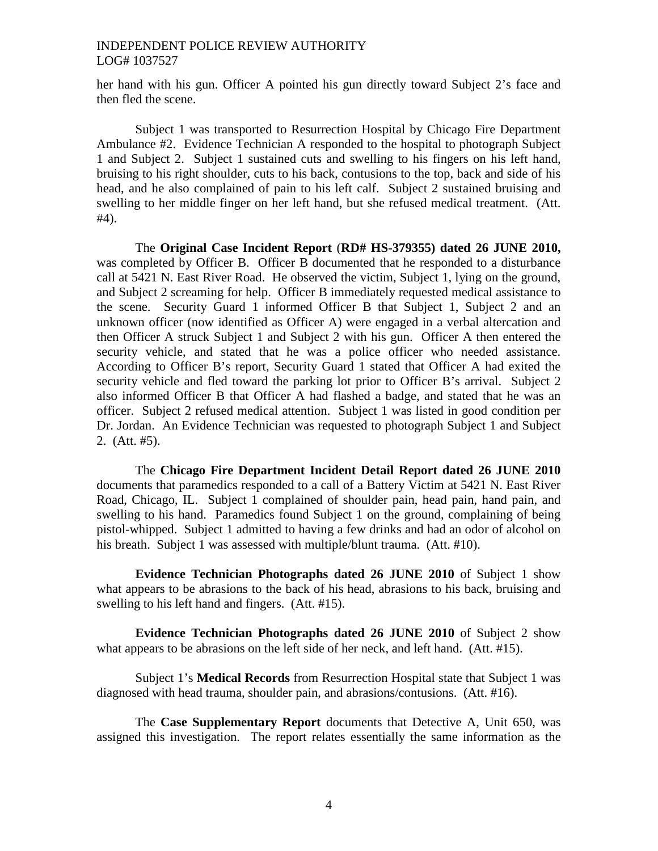her hand with his gun. Officer A pointed his gun directly toward Subject 2's face and then fled the scene.

Subject 1 was transported to Resurrection Hospital by Chicago Fire Department Ambulance #2. Evidence Technician A responded to the hospital to photograph Subject 1 and Subject 2. Subject 1 sustained cuts and swelling to his fingers on his left hand, bruising to his right shoulder, cuts to his back, contusions to the top, back and side of his head, and he also complained of pain to his left calf. Subject 2 sustained bruising and swelling to her middle finger on her left hand, but she refused medical treatment. (Att. #4).

The **Original Case Incident Report** (**RD# HS-379355) dated 26 JUNE 2010,** was completed by Officer B. Officer B documented that he responded to a disturbance call at 5421 N. East River Road. He observed the victim, Subject 1, lying on the ground, and Subject 2 screaming for help. Officer B immediately requested medical assistance to the scene. Security Guard 1 informed Officer B that Subject 1, Subject 2 and an unknown officer (now identified as Officer A) were engaged in a verbal altercation and then Officer A struck Subject 1 and Subject 2 with his gun. Officer A then entered the security vehicle, and stated that he was a police officer who needed assistance. According to Officer B's report, Security Guard 1 stated that Officer A had exited the security vehicle and fled toward the parking lot prior to Officer B's arrival. Subject 2 also informed Officer B that Officer A had flashed a badge, and stated that he was an officer. Subject 2 refused medical attention. Subject 1 was listed in good condition per Dr. Jordan. An Evidence Technician was requested to photograph Subject 1 and Subject 2. (Att. #5).

The **Chicago Fire Department Incident Detail Report dated 26 JUNE 2010** documents that paramedics responded to a call of a Battery Victim at 5421 N. East River Road, Chicago, IL. Subject 1 complained of shoulder pain, head pain, hand pain, and swelling to his hand. Paramedics found Subject 1 on the ground, complaining of being pistol-whipped. Subject 1 admitted to having a few drinks and had an odor of alcohol on his breath. Subject 1 was assessed with multiple/blunt trauma. (Att. #10).

**Evidence Technician Photographs dated 26 JUNE 2010** of Subject 1 show what appears to be abrasions to the back of his head, abrasions to his back, bruising and swelling to his left hand and fingers. (Att. #15).

**Evidence Technician Photographs dated 26 JUNE 2010** of Subject 2 show what appears to be abrasions on the left side of her neck, and left hand. (Att. #15).

Subject 1's **Medical Records** from Resurrection Hospital state that Subject 1 was diagnosed with head trauma, shoulder pain, and abrasions/contusions. (Att. #16).

The **Case Supplementary Report** documents that Detective A, Unit 650, was assigned this investigation. The report relates essentially the same information as the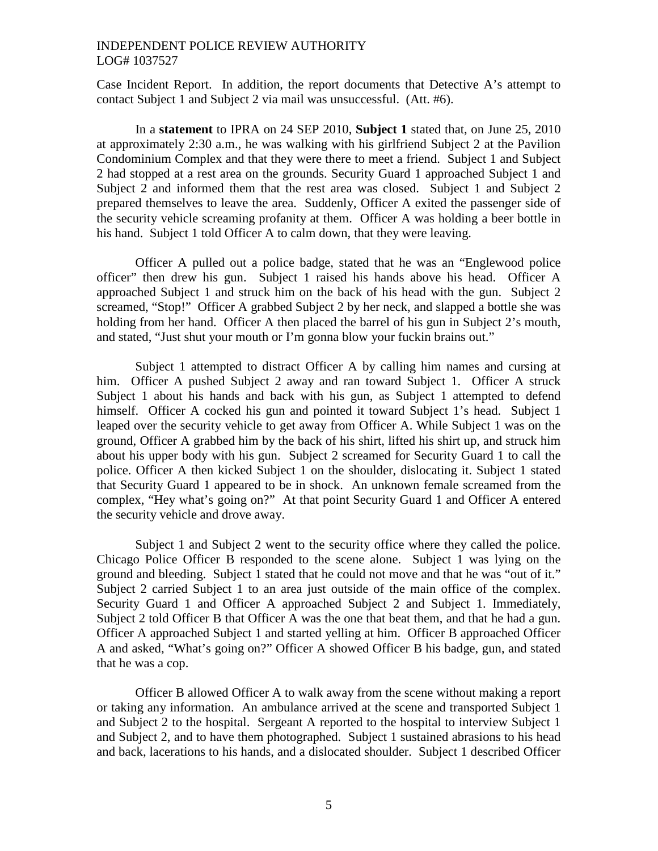Case Incident Report. In addition, the report documents that Detective A's attempt to contact Subject 1 and Subject 2 via mail was unsuccessful. (Att. #6).

In a **statement** to IPRA on 24 SEP 2010, **Subject 1** stated that, on June 25, 2010 at approximately 2:30 a.m., he was walking with his girlfriend Subject 2 at the Pavilion Condominium Complex and that they were there to meet a friend. Subject 1 and Subject 2 had stopped at a rest area on the grounds. Security Guard 1 approached Subject 1 and Subject 2 and informed them that the rest area was closed. Subject 1 and Subject 2 prepared themselves to leave the area. Suddenly, Officer A exited the passenger side of the security vehicle screaming profanity at them. Officer A was holding a beer bottle in his hand. Subject 1 told Officer A to calm down, that they were leaving.

Officer A pulled out a police badge, stated that he was an "Englewood police officer" then drew his gun. Subject 1 raised his hands above his head. Officer A approached Subject 1 and struck him on the back of his head with the gun. Subject 2 screamed, "Stop!" Officer A grabbed Subject 2 by her neck, and slapped a bottle she was holding from her hand. Officer A then placed the barrel of his gun in Subject 2's mouth, and stated, "Just shut your mouth or I'm gonna blow your fuckin brains out."

Subject 1 attempted to distract Officer A by calling him names and cursing at him. Officer A pushed Subject 2 away and ran toward Subject 1. Officer A struck Subject 1 about his hands and back with his gun, as Subject 1 attempted to defend himself. Officer A cocked his gun and pointed it toward Subject 1's head. Subject 1 leaped over the security vehicle to get away from Officer A. While Subject 1 was on the ground, Officer A grabbed him by the back of his shirt, lifted his shirt up, and struck him about his upper body with his gun. Subject 2 screamed for Security Guard 1 to call the police. Officer A then kicked Subject 1 on the shoulder, dislocating it. Subject 1 stated that Security Guard 1 appeared to be in shock. An unknown female screamed from the complex, "Hey what's going on?" At that point Security Guard 1 and Officer A entered the security vehicle and drove away.

Subject 1 and Subject 2 went to the security office where they called the police. Chicago Police Officer B responded to the scene alone. Subject 1 was lying on the ground and bleeding. Subject 1 stated that he could not move and that he was "out of it." Subject 2 carried Subject 1 to an area just outside of the main office of the complex. Security Guard 1 and Officer A approached Subject 2 and Subject 1. Immediately, Subject 2 told Officer B that Officer A was the one that beat them, and that he had a gun. Officer A approached Subject 1 and started yelling at him. Officer B approached Officer A and asked, "What's going on?" Officer A showed Officer B his badge, gun, and stated that he was a cop.

Officer B allowed Officer A to walk away from the scene without making a report or taking any information. An ambulance arrived at the scene and transported Subject 1 and Subject 2 to the hospital. Sergeant A reported to the hospital to interview Subject 1 and Subject 2, and to have them photographed. Subject 1 sustained abrasions to his head and back, lacerations to his hands, and a dislocated shoulder. Subject 1 described Officer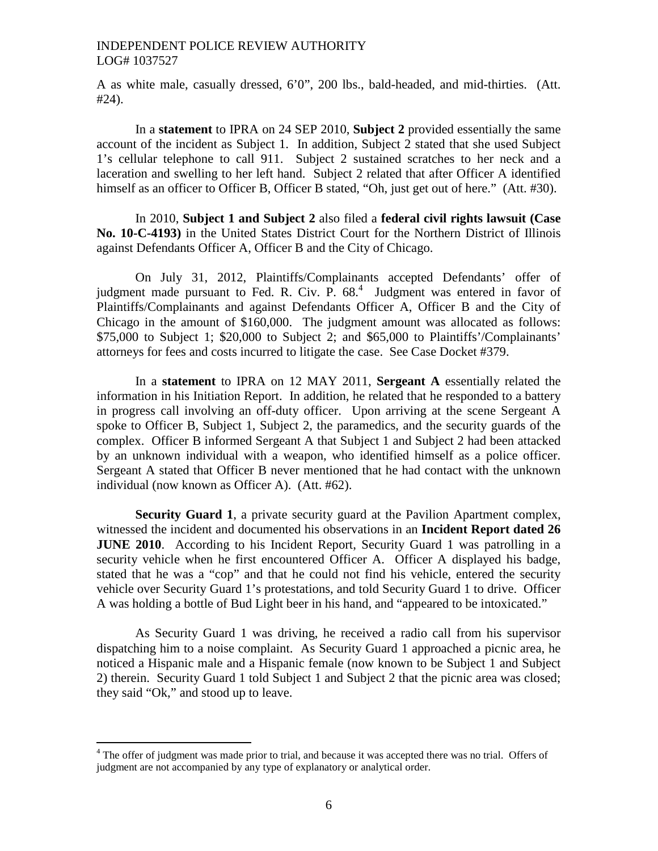A as white male, casually dressed, 6'0", 200 lbs., bald-headed, and mid-thirties. (Att. #24).

In a **statement** to IPRA on 24 SEP 2010, **Subject 2** provided essentially the same account of the incident as Subject 1. In addition, Subject 2 stated that she used Subject 1's cellular telephone to call 911. Subject 2 sustained scratches to her neck and a laceration and swelling to her left hand. Subject 2 related that after Officer A identified himself as an officer to Officer B, Officer B stated, "Oh, just get out of here." (Att. #30).

In 2010, **Subject 1 and Subject 2** also filed a **federal civil rights lawsuit (Case No. 10-C-4193)** in the United States District Court for the Northern District of Illinois against Defendants Officer A, Officer B and the City of Chicago.

On July 31, 2012, Plaintiffs/Complainants accepted Defendants' offer of judgment made pursuant to Fed. R. Civ. P.  $68<sup>4</sup>$  $68<sup>4</sup>$  $68<sup>4</sup>$  Judgment was entered in favor of Plaintiffs/Complainants and against Defendants Officer A, Officer B and the City of Chicago in the amount of \$160,000. The judgment amount was allocated as follows: \$75,000 to Subject 1; \$20,000 to Subject 2; and \$65,000 to Plaintiffs'/Complainants' attorneys for fees and costs incurred to litigate the case. See Case Docket #379.

In a **statement** to IPRA on 12 MAY 2011, **Sergeant A** essentially related the information in his Initiation Report. In addition, he related that he responded to a battery in progress call involving an off-duty officer. Upon arriving at the scene Sergeant A spoke to Officer B, Subject 1, Subject 2, the paramedics, and the security guards of the complex. Officer B informed Sergeant A that Subject 1 and Subject 2 had been attacked by an unknown individual with a weapon, who identified himself as a police officer. Sergeant A stated that Officer B never mentioned that he had contact with the unknown individual (now known as Officer A). (Att. #62).

**Security Guard 1,** a private security guard at the Pavilion Apartment complex, witnessed the incident and documented his observations in an **Incident Report dated 26 JUNE 2010.** According to his Incident Report, Security Guard 1 was patrolling in a security vehicle when he first encountered Officer A. Officer A displayed his badge, stated that he was a "cop" and that he could not find his vehicle, entered the security vehicle over Security Guard 1's protestations, and told Security Guard 1 to drive. Officer A was holding a bottle of Bud Light beer in his hand, and "appeared to be intoxicated."

As Security Guard 1 was driving, he received a radio call from his supervisor dispatching him to a noise complaint. As Security Guard 1 approached a picnic area, he noticed a Hispanic male and a Hispanic female (now known to be Subject 1 and Subject 2) therein. Security Guard 1 told Subject 1 and Subject 2 that the picnic area was closed; they said "Ok," and stood up to leave.

<span id="page-5-0"></span><sup>&</sup>lt;sup>4</sup> The offer of judgment was made prior to trial, and because it was accepted there was no trial. Offers of judgment are not accompanied by any type of explanatory or analytical order.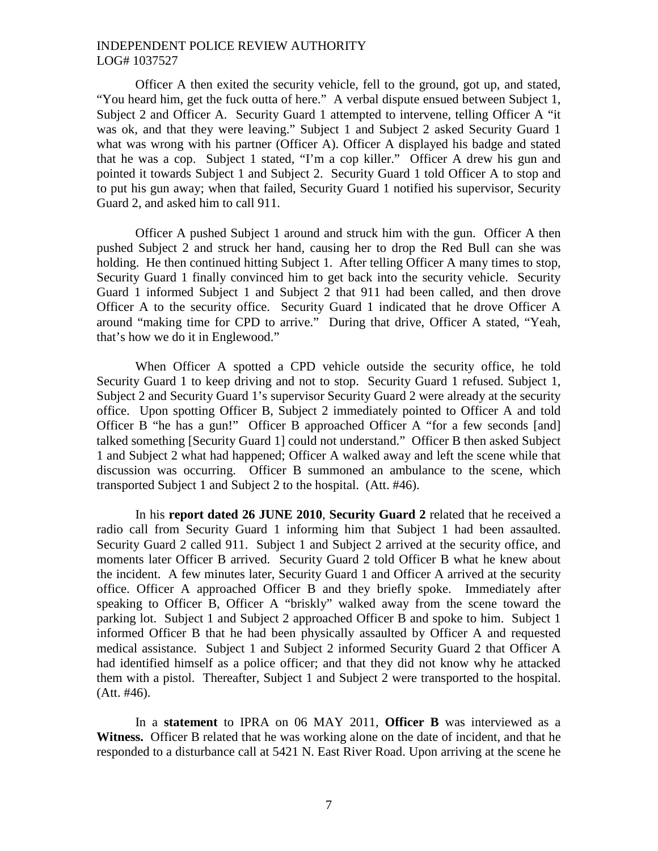Officer A then exited the security vehicle, fell to the ground, got up, and stated, "You heard him, get the fuck outta of here." A verbal dispute ensued between Subject 1, Subject 2 and Officer A. Security Guard 1 attempted to intervene, telling Officer A "it was ok, and that they were leaving." Subject 1 and Subject 2 asked Security Guard 1 what was wrong with his partner (Officer A). Officer A displayed his badge and stated that he was a cop. Subject 1 stated, "I'm a cop killer." Officer A drew his gun and pointed it towards Subject 1 and Subject 2. Security Guard 1 told Officer A to stop and to put his gun away; when that failed, Security Guard 1 notified his supervisor, Security Guard 2, and asked him to call 911.

Officer A pushed Subject 1 around and struck him with the gun. Officer A then pushed Subject 2 and struck her hand, causing her to drop the Red Bull can she was holding. He then continued hitting Subject 1. After telling Officer A many times to stop, Security Guard 1 finally convinced him to get back into the security vehicle. Security Guard 1 informed Subject 1 and Subject 2 that 911 had been called, and then drove Officer A to the security office. Security Guard 1 indicated that he drove Officer A around "making time for CPD to arrive." During that drive, Officer A stated, "Yeah, that's how we do it in Englewood."

When Officer A spotted a CPD vehicle outside the security office, he told Security Guard 1 to keep driving and not to stop. Security Guard 1 refused. Subject 1, Subject 2 and Security Guard 1's supervisor Security Guard 2 were already at the security office. Upon spotting Officer B, Subject 2 immediately pointed to Officer A and told Officer B "he has a gun!" Officer B approached Officer A "for a few seconds [and] talked something [Security Guard 1] could not understand." Officer B then asked Subject 1 and Subject 2 what had happened; Officer A walked away and left the scene while that discussion was occurring. Officer B summoned an ambulance to the scene, which transported Subject 1 and Subject 2 to the hospital. (Att. #46).

In his **report dated 26 JUNE 2010**, **Security Guard 2** related that he received a radio call from Security Guard 1 informing him that Subject 1 had been assaulted. Security Guard 2 called 911. Subject 1 and Subject 2 arrived at the security office, and moments later Officer B arrived. Security Guard 2 told Officer B what he knew about the incident. A few minutes later, Security Guard 1 and Officer A arrived at the security office. Officer A approached Officer B and they briefly spoke. Immediately after speaking to Officer B, Officer A "briskly" walked away from the scene toward the parking lot. Subject 1 and Subject 2 approached Officer B and spoke to him. Subject 1 informed Officer B that he had been physically assaulted by Officer A and requested medical assistance. Subject 1 and Subject 2 informed Security Guard 2 that Officer A had identified himself as a police officer; and that they did not know why he attacked them with a pistol. Thereafter, Subject 1 and Subject 2 were transported to the hospital. (Att. #46).

In a **statement** to IPRA on 06 MAY 2011, **Officer B** was interviewed as a **Witness.** Officer B related that he was working alone on the date of incident, and that he responded to a disturbance call at 5421 N. East River Road. Upon arriving at the scene he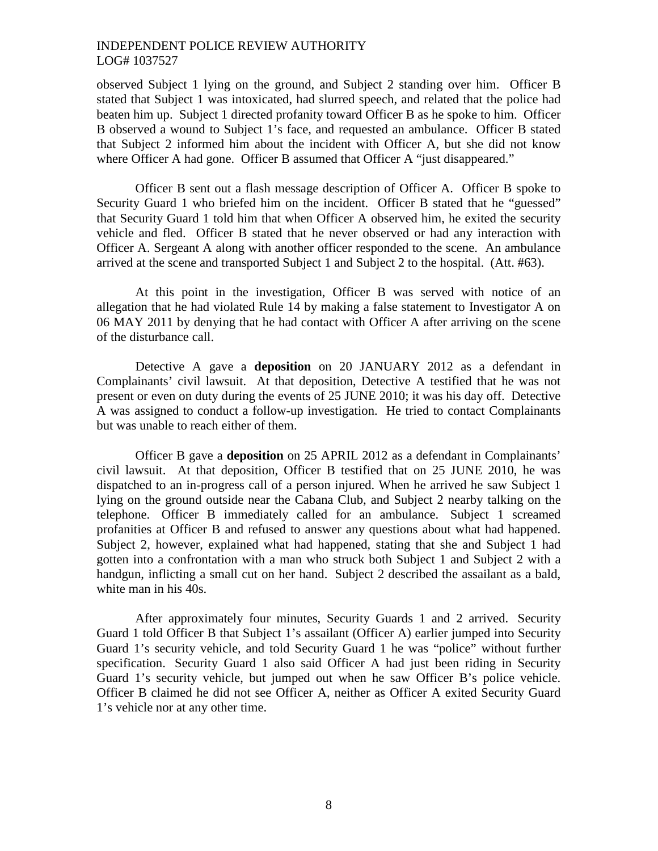observed Subject 1 lying on the ground, and Subject 2 standing over him. Officer B stated that Subject 1 was intoxicated, had slurred speech, and related that the police had beaten him up. Subject 1 directed profanity toward Officer B as he spoke to him. Officer B observed a wound to Subject 1's face, and requested an ambulance. Officer B stated that Subject 2 informed him about the incident with Officer A, but she did not know where Officer A had gone. Officer B assumed that Officer A "just disappeared."

Officer B sent out a flash message description of Officer A. Officer B spoke to Security Guard 1 who briefed him on the incident. Officer B stated that he "guessed" that Security Guard 1 told him that when Officer A observed him, he exited the security vehicle and fled. Officer B stated that he never observed or had any interaction with Officer A. Sergeant A along with another officer responded to the scene. An ambulance arrived at the scene and transported Subject 1 and Subject 2 to the hospital. (Att. #63).

At this point in the investigation, Officer B was served with notice of an allegation that he had violated Rule 14 by making a false statement to Investigator A on 06 MAY 2011 by denying that he had contact with Officer A after arriving on the scene of the disturbance call.

Detective A gave a **deposition** on 20 JANUARY 2012 as a defendant in Complainants' civil lawsuit. At that deposition, Detective A testified that he was not present or even on duty during the events of 25 JUNE 2010; it was his day off. Detective A was assigned to conduct a follow-up investigation. He tried to contact Complainants but was unable to reach either of them.

Officer B gave a **deposition** on 25 APRIL 2012 as a defendant in Complainants' civil lawsuit. At that deposition, Officer B testified that on 25 JUNE 2010, he was dispatched to an in-progress call of a person injured. When he arrived he saw Subject 1 lying on the ground outside near the Cabana Club, and Subject 2 nearby talking on the telephone. Officer B immediately called for an ambulance. Subject 1 screamed profanities at Officer B and refused to answer any questions about what had happened. Subject 2, however, explained what had happened, stating that she and Subject 1 had gotten into a confrontation with a man who struck both Subject 1 and Subject 2 with a handgun, inflicting a small cut on her hand. Subject 2 described the assailant as a bald, white man in his 40s.

After approximately four minutes, Security Guards 1 and 2 arrived. Security Guard 1 told Officer B that Subject 1's assailant (Officer A) earlier jumped into Security Guard 1's security vehicle, and told Security Guard 1 he was "police" without further specification. Security Guard 1 also said Officer A had just been riding in Security Guard 1's security vehicle, but jumped out when he saw Officer B's police vehicle. Officer B claimed he did not see Officer A, neither as Officer A exited Security Guard 1's vehicle nor at any other time.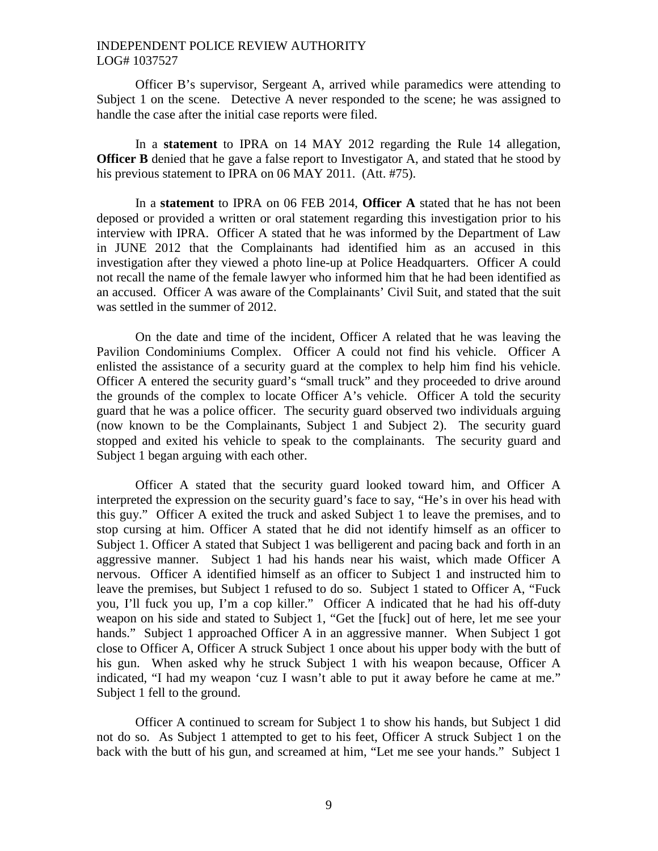Officer B's supervisor, Sergeant A, arrived while paramedics were attending to Subject 1 on the scene. Detective A never responded to the scene; he was assigned to handle the case after the initial case reports were filed.

In a **statement** to IPRA on 14 MAY 2012 regarding the Rule 14 allegation, **Officer B** denied that he gave a false report to Investigator A, and stated that he stood by his previous statement to IPRA on 06 MAY 2011. (Att. #75).

In a **statement** to IPRA on 06 FEB 2014, **Officer A** stated that he has not been deposed or provided a written or oral statement regarding this investigation prior to his interview with IPRA. Officer A stated that he was informed by the Department of Law in JUNE 2012 that the Complainants had identified him as an accused in this investigation after they viewed a photo line-up at Police Headquarters. Officer A could not recall the name of the female lawyer who informed him that he had been identified as an accused. Officer A was aware of the Complainants' Civil Suit, and stated that the suit was settled in the summer of 2012.

On the date and time of the incident, Officer A related that he was leaving the Pavilion Condominiums Complex. Officer A could not find his vehicle. Officer A enlisted the assistance of a security guard at the complex to help him find his vehicle. Officer A entered the security guard's "small truck" and they proceeded to drive around the grounds of the complex to locate Officer A's vehicle. Officer A told the security guard that he was a police officer. The security guard observed two individuals arguing (now known to be the Complainants, Subject 1 and Subject 2). The security guard stopped and exited his vehicle to speak to the complainants. The security guard and Subject 1 began arguing with each other.

Officer A stated that the security guard looked toward him, and Officer A interpreted the expression on the security guard's face to say, "He's in over his head with this guy." Officer A exited the truck and asked Subject 1 to leave the premises, and to stop cursing at him. Officer A stated that he did not identify himself as an officer to Subject 1. Officer A stated that Subject 1 was belligerent and pacing back and forth in an aggressive manner. Subject 1 had his hands near his waist, which made Officer A nervous. Officer A identified himself as an officer to Subject 1 and instructed him to leave the premises, but Subject 1 refused to do so. Subject 1 stated to Officer A, "Fuck you, I'll fuck you up, I'm a cop killer." Officer A indicated that he had his off-duty weapon on his side and stated to Subject 1, "Get the [fuck] out of here, let me see your hands." Subject 1 approached Officer A in an aggressive manner. When Subject 1 got close to Officer A, Officer A struck Subject 1 once about his upper body with the butt of his gun. When asked why he struck Subject 1 with his weapon because, Officer A indicated, "I had my weapon 'cuz I wasn't able to put it away before he came at me." Subject 1 fell to the ground.

Officer A continued to scream for Subject 1 to show his hands, but Subject 1 did not do so. As Subject 1 attempted to get to his feet, Officer A struck Subject 1 on the back with the butt of his gun, and screamed at him, "Let me see your hands." Subject 1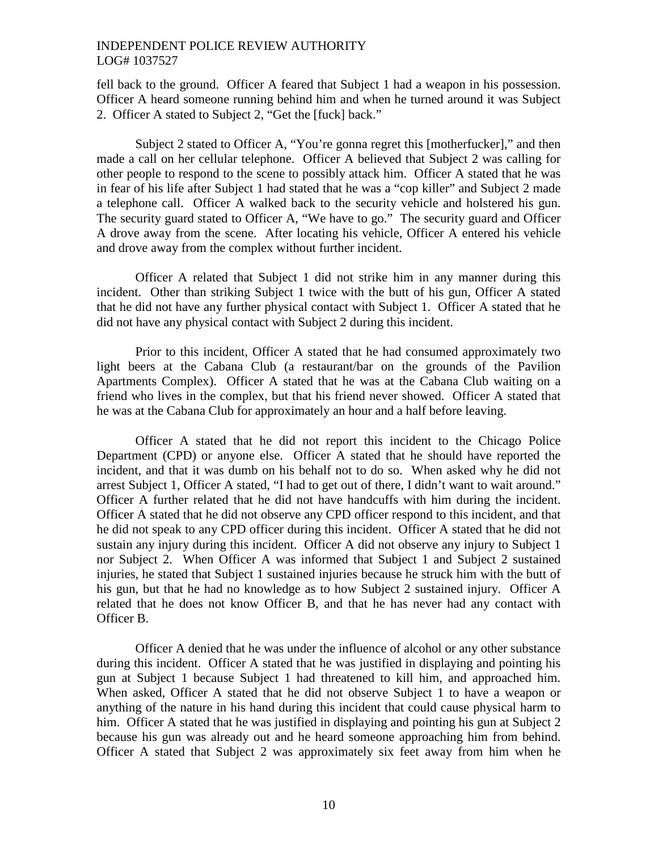fell back to the ground. Officer A feared that Subject 1 had a weapon in his possession. Officer A heard someone running behind him and when he turned around it was Subject 2. Officer A stated to Subject 2, "Get the [fuck] back."

Subject 2 stated to Officer A, "You're gonna regret this [motherfucker]," and then made a call on her cellular telephone. Officer A believed that Subject 2 was calling for other people to respond to the scene to possibly attack him. Officer A stated that he was in fear of his life after Subject 1 had stated that he was a "cop killer" and Subject 2 made a telephone call. Officer A walked back to the security vehicle and holstered his gun. The security guard stated to Officer A, "We have to go." The security guard and Officer A drove away from the scene. After locating his vehicle, Officer A entered his vehicle and drove away from the complex without further incident.

Officer A related that Subject 1 did not strike him in any manner during this incident. Other than striking Subject 1 twice with the butt of his gun, Officer A stated that he did not have any further physical contact with Subject 1. Officer A stated that he did not have any physical contact with Subject 2 during this incident.

Prior to this incident, Officer A stated that he had consumed approximately two light beers at the Cabana Club (a restaurant/bar on the grounds of the Pavilion Apartments Complex). Officer A stated that he was at the Cabana Club waiting on a friend who lives in the complex, but that his friend never showed. Officer A stated that he was at the Cabana Club for approximately an hour and a half before leaving.

Officer A stated that he did not report this incident to the Chicago Police Department (CPD) or anyone else. Officer A stated that he should have reported the incident, and that it was dumb on his behalf not to do so. When asked why he did not arrest Subject 1, Officer A stated, "I had to get out of there, I didn't want to wait around." Officer A further related that he did not have handcuffs with him during the incident. Officer A stated that he did not observe any CPD officer respond to this incident, and that he did not speak to any CPD officer during this incident. Officer A stated that he did not sustain any injury during this incident. Officer A did not observe any injury to Subject 1 nor Subject 2. When Officer A was informed that Subject 1 and Subject 2 sustained injuries, he stated that Subject 1 sustained injuries because he struck him with the butt of his gun, but that he had no knowledge as to how Subject 2 sustained injury. Officer A related that he does not know Officer B, and that he has never had any contact with Officer B.

Officer A denied that he was under the influence of alcohol or any other substance during this incident. Officer A stated that he was justified in displaying and pointing his gun at Subject 1 because Subject 1 had threatened to kill him, and approached him. When asked, Officer A stated that he did not observe Subject 1 to have a weapon or anything of the nature in his hand during this incident that could cause physical harm to him. Officer A stated that he was justified in displaying and pointing his gun at Subject 2 because his gun was already out and he heard someone approaching him from behind. Officer A stated that Subject 2 was approximately six feet away from him when he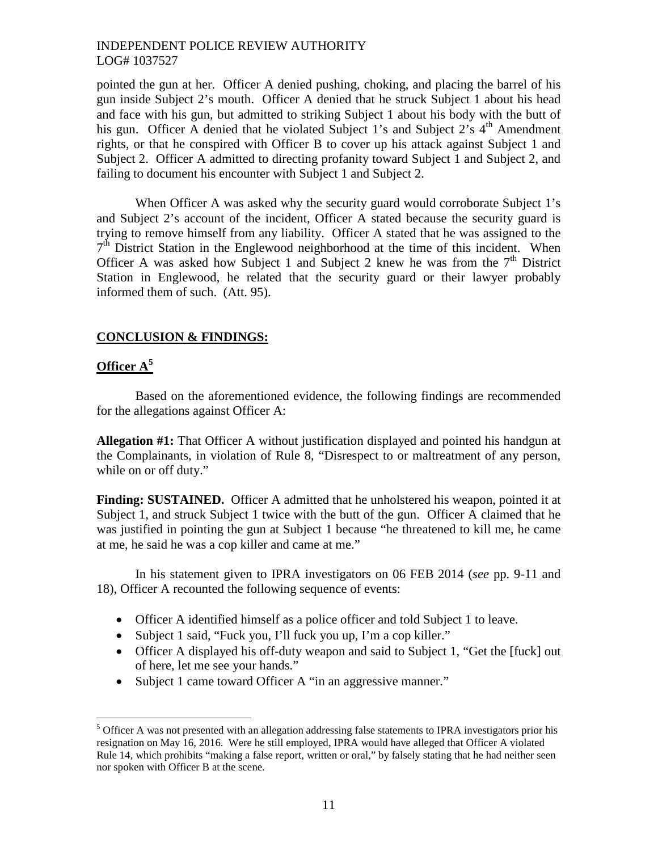pointed the gun at her. Officer A denied pushing, choking, and placing the barrel of his gun inside Subject 2's mouth. Officer A denied that he struck Subject 1 about his head and face with his gun, but admitted to striking Subject 1 about his body with the butt of his gun. Officer A denied that he violated Subject 1's and Subject 2's  $4<sup>th</sup>$  Amendment rights, or that he conspired with Officer B to cover up his attack against Subject 1 and Subject 2. Officer A admitted to directing profanity toward Subject 1 and Subject 2, and failing to document his encounter with Subject 1 and Subject 2.

When Officer A was asked why the security guard would corroborate Subject 1's and Subject 2's account of the incident, Officer A stated because the security guard is trying to remove himself from any liability. Officer A stated that he was assigned to the 7<sup>th</sup> District Station in the Englewood neighborhood at the time of this incident. When Officer A was asked how Subject 1 and Subject 2 knew he was from the  $7<sup>th</sup>$  District Station in Englewood, he related that the security guard or their lawyer probably informed them of such. (Att. 95).

## **CONCLUSION & FINDINGS:**

# **Officer [A](#page-10-0)<sup>5</sup>**

Based on the aforementioned evidence, the following findings are recommended for the allegations against Officer A:

**Allegation #1:** That Officer A without justification displayed and pointed his handgun at the Complainants, in violation of Rule 8, "Disrespect to or maltreatment of any person, while on or off duty."

**Finding: SUSTAINED.** Officer A admitted that he unholstered his weapon, pointed it at Subject 1, and struck Subject 1 twice with the butt of the gun. Officer A claimed that he was justified in pointing the gun at Subject 1 because "he threatened to kill me, he came at me, he said he was a cop killer and came at me."

In his statement given to IPRA investigators on 06 FEB 2014 (*see* pp. 9-11 and 18), Officer A recounted the following sequence of events:

- Officer A identified himself as a police officer and told Subject 1 to leave.
- Subject 1 said, "Fuck you, I'll fuck you up, I'm a cop killer."
- Officer A displayed his off-duty weapon and said to Subject 1, "Get the [fuck] out of here, let me see your hands."
- Subject 1 came toward Officer A "in an aggressive manner."

<span id="page-10-0"></span> $<sup>5</sup>$  Officer A was not presented with an allegation addressing false statements to IPRA investigators prior his</sup> resignation on May 16, 2016. Were he still employed, IPRA would have alleged that Officer A violated Rule 14, which prohibits "making a false report, written or oral," by falsely stating that he had neither seen nor spoken with Officer B at the scene.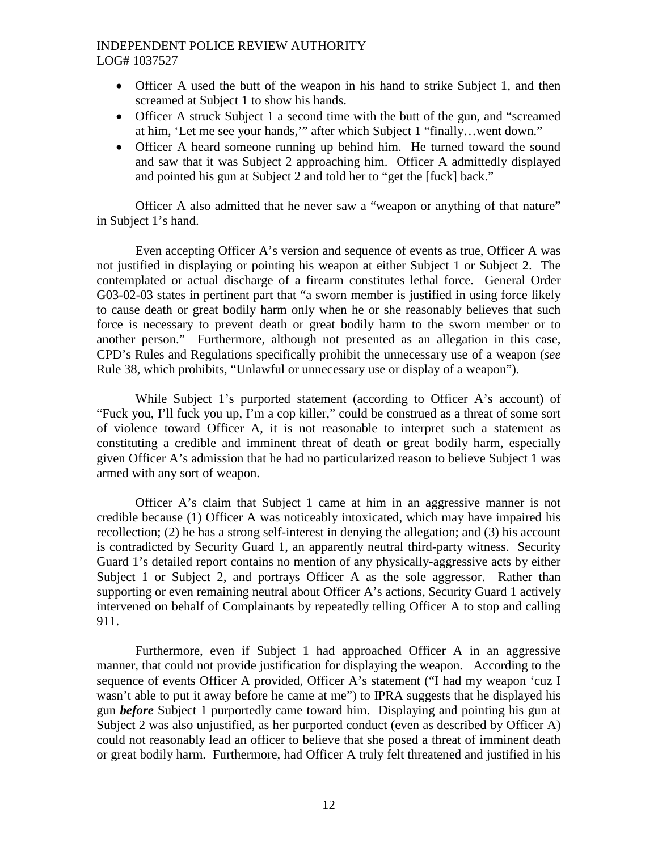- Officer A used the butt of the weapon in his hand to strike Subject 1, and then screamed at Subject 1 to show his hands.
- Officer A struck Subject 1 a second time with the butt of the gun, and "screamed at him, 'Let me see your hands,'" after which Subject 1 "finally…went down."
- Officer A heard someone running up behind him. He turned toward the sound and saw that it was Subject 2 approaching him. Officer A admittedly displayed and pointed his gun at Subject 2 and told her to "get the [fuck] back."

Officer A also admitted that he never saw a "weapon or anything of that nature" in Subject 1's hand.

Even accepting Officer A's version and sequence of events as true, Officer A was not justified in displaying or pointing his weapon at either Subject 1 or Subject 2. The contemplated or actual discharge of a firearm constitutes lethal force. General Order G03-02-03 states in pertinent part that "a sworn member is justified in using force likely to cause death or great bodily harm only when he or she reasonably believes that such force is necessary to prevent death or great bodily harm to the sworn member or to another person." Furthermore, although not presented as an allegation in this case, CPD's Rules and Regulations specifically prohibit the unnecessary use of a weapon (*see* Rule 38, which prohibits, "Unlawful or unnecessary use or display of a weapon").

While Subject 1's purported statement (according to Officer A's account) of "Fuck you, I'll fuck you up, I'm a cop killer," could be construed as a threat of some sort of violence toward Officer A, it is not reasonable to interpret such a statement as constituting a credible and imminent threat of death or great bodily harm, especially given Officer A's admission that he had no particularized reason to believe Subject 1 was armed with any sort of weapon.

Officer A's claim that Subject 1 came at him in an aggressive manner is not credible because (1) Officer A was noticeably intoxicated, which may have impaired his recollection; (2) he has a strong self-interest in denying the allegation; and (3) his account is contradicted by Security Guard 1, an apparently neutral third-party witness. Security Guard 1's detailed report contains no mention of any physically-aggressive acts by either Subject 1 or Subject 2, and portrays Officer A as the sole aggressor. Rather than supporting or even remaining neutral about Officer A's actions, Security Guard 1 actively intervened on behalf of Complainants by repeatedly telling Officer A to stop and calling 911.

Furthermore, even if Subject 1 had approached Officer A in an aggressive manner, that could not provide justification for displaying the weapon. According to the sequence of events Officer A provided, Officer A's statement ("I had my weapon 'cuz I wasn't able to put it away before he came at me") to IPRA suggests that he displayed his gun *before* Subject 1 purportedly came toward him. Displaying and pointing his gun at Subject 2 was also unjustified, as her purported conduct (even as described by Officer A) could not reasonably lead an officer to believe that she posed a threat of imminent death or great bodily harm. Furthermore, had Officer A truly felt threatened and justified in his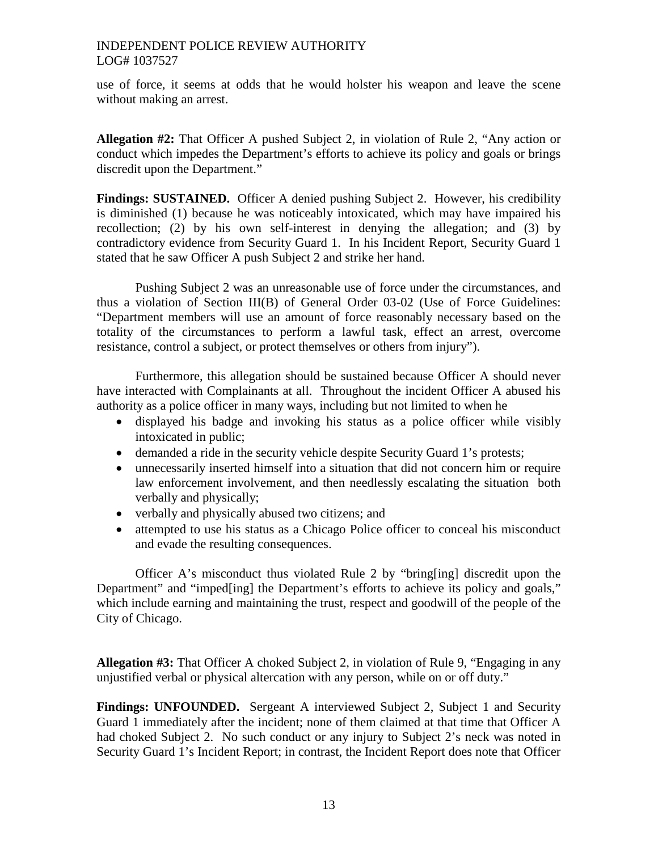use of force, it seems at odds that he would holster his weapon and leave the scene without making an arrest.

**Allegation #2:** That Officer A pushed Subject 2, in violation of Rule 2, "Any action or conduct which impedes the Department's efforts to achieve its policy and goals or brings discredit upon the Department."

**Findings: SUSTAINED.** Officer A denied pushing Subject 2. However, his credibility is diminished (1) because he was noticeably intoxicated, which may have impaired his recollection; (2) by his own self-interest in denying the allegation; and (3) by contradictory evidence from Security Guard 1. In his Incident Report, Security Guard 1 stated that he saw Officer A push Subject 2 and strike her hand.

Pushing Subject 2 was an unreasonable use of force under the circumstances, and thus a violation of Section III(B) of General Order 03-02 (Use of Force Guidelines: "Department members will use an amount of force reasonably necessary based on the totality of the circumstances to perform a lawful task, effect an arrest, overcome resistance, control a subject, or protect themselves or others from injury").

Furthermore, this allegation should be sustained because Officer A should never have interacted with Complainants at all. Throughout the incident Officer A abused his authority as a police officer in many ways, including but not limited to when he

- displayed his badge and invoking his status as a police officer while visibly intoxicated in public;
- demanded a ride in the security vehicle despite Security Guard 1's protests;
- unnecessarily inserted himself into a situation that did not concern him or require law enforcement involvement, and then needlessly escalating the situation both verbally and physically;
- verbally and physically abused two citizens; and
- attempted to use his status as a Chicago Police officer to conceal his misconduct and evade the resulting consequences.

Officer A's misconduct thus violated Rule 2 by "bring[ing] discredit upon the Department" and "imped[ing] the Department's efforts to achieve its policy and goals," which include earning and maintaining the trust, respect and goodwill of the people of the City of Chicago.

**Allegation #3:** That Officer A choked Subject 2, in violation of Rule 9, "Engaging in any unjustified verbal or physical altercation with any person, while on or off duty."

**Findings: UNFOUNDED.** Sergeant A interviewed Subject 2, Subject 1 and Security Guard 1 immediately after the incident; none of them claimed at that time that Officer A had choked Subject 2. No such conduct or any injury to Subject 2's neck was noted in Security Guard 1's Incident Report; in contrast, the Incident Report does note that Officer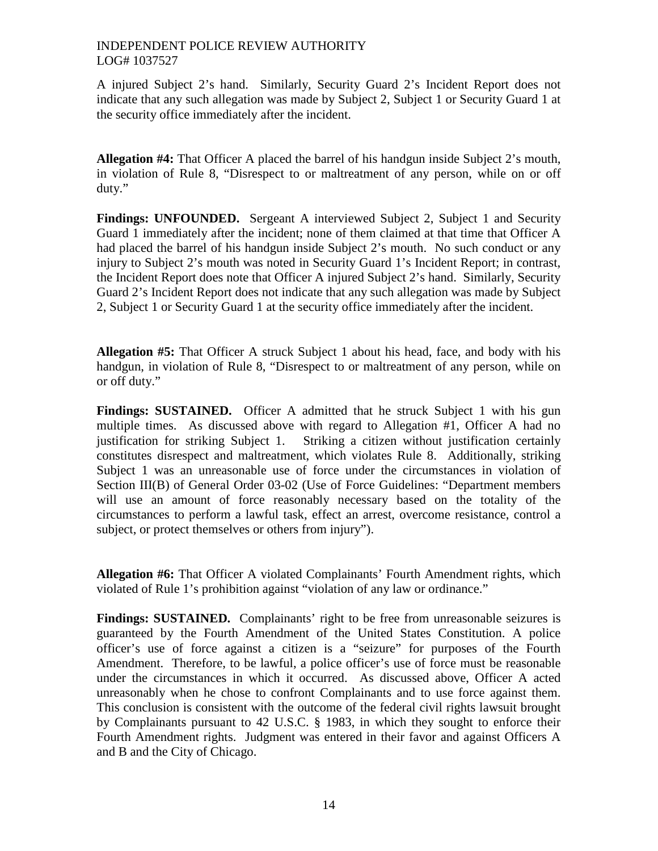A injured Subject 2's hand. Similarly, Security Guard 2's Incident Report does not indicate that any such allegation was made by Subject 2, Subject 1 or Security Guard 1 at the security office immediately after the incident.

**Allegation #4:** That Officer A placed the barrel of his handgun inside Subject 2's mouth, in violation of Rule 8, "Disrespect to or maltreatment of any person, while on or off duty."

**Findings: UNFOUNDED.** Sergeant A interviewed Subject 2, Subject 1 and Security Guard 1 immediately after the incident; none of them claimed at that time that Officer A had placed the barrel of his handgun inside Subject 2's mouth. No such conduct or any injury to Subject 2's mouth was noted in Security Guard 1's Incident Report; in contrast, the Incident Report does note that Officer A injured Subject 2's hand. Similarly, Security Guard 2's Incident Report does not indicate that any such allegation was made by Subject 2, Subject 1 or Security Guard 1 at the security office immediately after the incident.

**Allegation #5:** That Officer A struck Subject 1 about his head, face, and body with his handgun, in violation of Rule 8, "Disrespect to or maltreatment of any person, while on or off duty."

**Findings: SUSTAINED.** Officer A admitted that he struck Subject 1 with his gun multiple times. As discussed above with regard to Allegation #1, Officer A had no justification for striking Subject 1. Striking a citizen without justification certainly constitutes disrespect and maltreatment, which violates Rule 8. Additionally, striking Subject 1 was an unreasonable use of force under the circumstances in violation of Section III(B) of General Order 03-02 (Use of Force Guidelines: "Department members will use an amount of force reasonably necessary based on the totality of the circumstances to perform a lawful task, effect an arrest, overcome resistance, control a subject, or protect themselves or others from injury").

**Allegation #6:** That Officer A violated Complainants' Fourth Amendment rights, which violated of Rule 1's prohibition against "violation of any law or ordinance."

Findings: SUSTAINED. Complainants' right to be free from unreasonable seizures is guaranteed by the Fourth Amendment of the United States Constitution. A police officer's use of force against a citizen is a "seizure" for purposes of the Fourth Amendment. Therefore, to be lawful, a police officer's use of force must be reasonable under the circumstances in which it occurred. As discussed above, Officer A acted unreasonably when he chose to confront Complainants and to use force against them. This conclusion is consistent with the outcome of the federal civil rights lawsuit brought by Complainants pursuant to 42 U.S.C. § 1983, in which they sought to enforce their Fourth Amendment rights. Judgment was entered in their favor and against Officers A and B and the City of Chicago.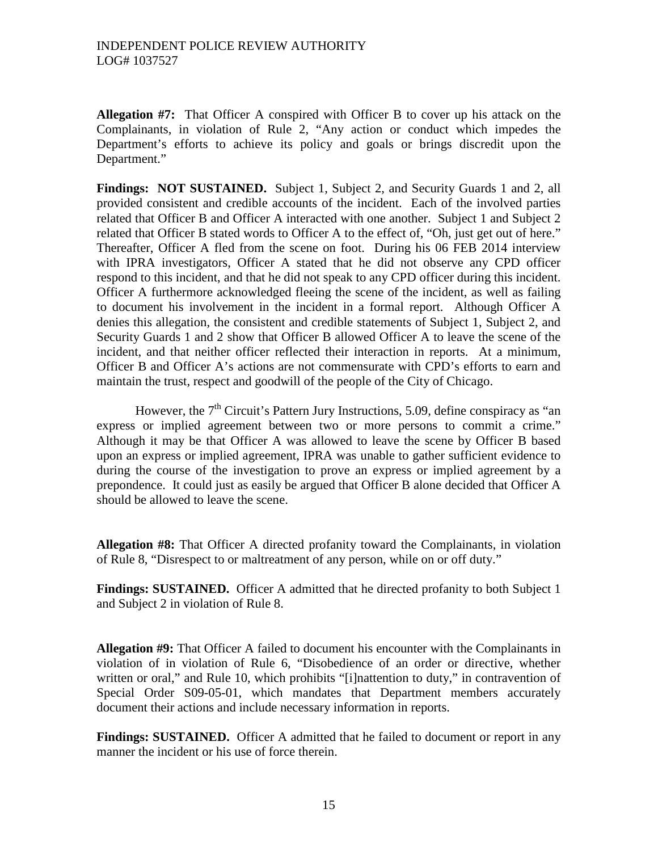**Allegation #7:** That Officer A conspired with Officer B to cover up his attack on the Complainants, in violation of Rule 2, "Any action or conduct which impedes the Department's efforts to achieve its policy and goals or brings discredit upon the Department."

**Findings: NOT SUSTAINED.** Subject 1, Subject 2, and Security Guards 1 and 2, all provided consistent and credible accounts of the incident. Each of the involved parties related that Officer B and Officer A interacted with one another. Subject 1 and Subject 2 related that Officer B stated words to Officer A to the effect of, "Oh, just get out of here." Thereafter, Officer A fled from the scene on foot. During his 06 FEB 2014 interview with IPRA investigators, Officer A stated that he did not observe any CPD officer respond to this incident, and that he did not speak to any CPD officer during this incident. Officer A furthermore acknowledged fleeing the scene of the incident, as well as failing to document his involvement in the incident in a formal report. Although Officer A denies this allegation, the consistent and credible statements of Subject 1, Subject 2, and Security Guards 1 and 2 show that Officer B allowed Officer A to leave the scene of the incident, and that neither officer reflected their interaction in reports. At a minimum, Officer B and Officer A's actions are not commensurate with CPD's efforts to earn and maintain the trust, respect and goodwill of the people of the City of Chicago.

However, the  $7<sup>th</sup>$  Circuit's Pattern Jury Instructions, 5.09, define conspiracy as "an express or implied agreement between two or more persons to commit a crime." Although it may be that Officer A was allowed to leave the scene by Officer B based upon an express or implied agreement, IPRA was unable to gather sufficient evidence to during the course of the investigation to prove an express or implied agreement by a prepondence. It could just as easily be argued that Officer B alone decided that Officer A should be allowed to leave the scene.

**Allegation #8:** That Officer A directed profanity toward the Complainants, in violation of Rule 8, "Disrespect to or maltreatment of any person, while on or off duty."

**Findings: SUSTAINED.** Officer A admitted that he directed profanity to both Subject 1 and Subject 2 in violation of Rule 8.

**Allegation #9:** That Officer A failed to document his encounter with the Complainants in violation of in violation of Rule 6, "Disobedience of an order or directive, whether written or oral," and Rule 10, which prohibits "[i]nattention to duty," in contravention of Special Order S09-05-01, which mandates that Department members accurately document their actions and include necessary information in reports.

**Findings: SUSTAINED.** Officer A admitted that he failed to document or report in any manner the incident or his use of force therein.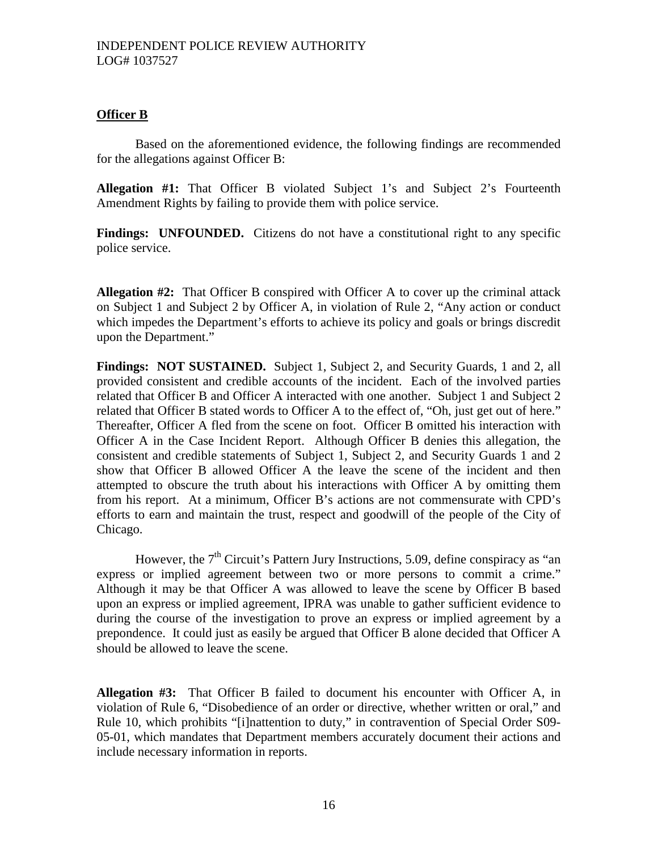# **Officer B**

Based on the aforementioned evidence, the following findings are recommended for the allegations against Officer B:

**Allegation #1:** That Officer B violated Subject 1's and Subject 2's Fourteenth Amendment Rights by failing to provide them with police service.

**Findings:** UNFOUNDED. Citizens do not have a constitutional right to any specific police service.

**Allegation #2:** That Officer B conspired with Officer A to cover up the criminal attack on Subject 1 and Subject 2 by Officer A, in violation of Rule 2, "Any action or conduct which impedes the Department's efforts to achieve its policy and goals or brings discredit upon the Department."

**Findings: NOT SUSTAINED.** Subject 1, Subject 2, and Security Guards, 1 and 2, all provided consistent and credible accounts of the incident. Each of the involved parties related that Officer B and Officer A interacted with one another. Subject 1 and Subject 2 related that Officer B stated words to Officer A to the effect of, "Oh, just get out of here." Thereafter, Officer A fled from the scene on foot. Officer B omitted his interaction with Officer A in the Case Incident Report. Although Officer B denies this allegation, the consistent and credible statements of Subject 1, Subject 2, and Security Guards 1 and 2 show that Officer B allowed Officer A the leave the scene of the incident and then attempted to obscure the truth about his interactions with Officer A by omitting them from his report. At a minimum, Officer B's actions are not commensurate with CPD's efforts to earn and maintain the trust, respect and goodwill of the people of the City of Chicago.

However, the  $7<sup>th</sup>$  Circuit's Pattern Jury Instructions, 5.09, define conspiracy as "an express or implied agreement between two or more persons to commit a crime." Although it may be that Officer A was allowed to leave the scene by Officer B based upon an express or implied agreement, IPRA was unable to gather sufficient evidence to during the course of the investigation to prove an express or implied agreement by a prepondence. It could just as easily be argued that Officer B alone decided that Officer A should be allowed to leave the scene.

**Allegation #3:** That Officer B failed to document his encounter with Officer A, in violation of Rule 6, "Disobedience of an order or directive, whether written or oral," and Rule 10, which prohibits "[i]nattention to duty," in contravention of Special Order S09- 05-01, which mandates that Department members accurately document their actions and include necessary information in reports.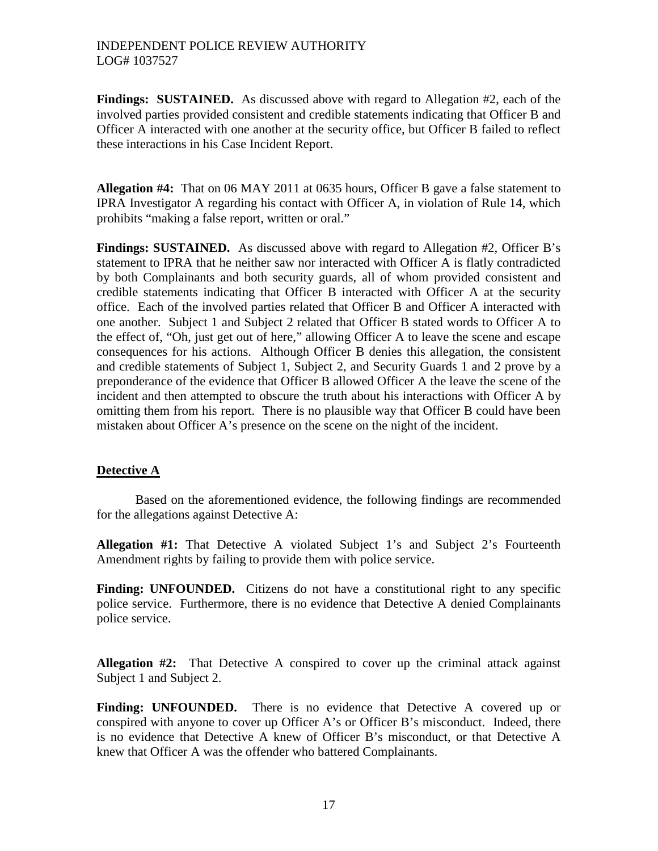**Findings: SUSTAINED.** As discussed above with regard to Allegation #2, each of the involved parties provided consistent and credible statements indicating that Officer B and Officer A interacted with one another at the security office, but Officer B failed to reflect these interactions in his Case Incident Report.

**Allegation #4:** That on 06 MAY 2011 at 0635 hours, Officer B gave a false statement to IPRA Investigator A regarding his contact with Officer A, in violation of Rule 14, which prohibits "making a false report, written or oral."

**Findings: SUSTAINED.** As discussed above with regard to Allegation #2, Officer B's statement to IPRA that he neither saw nor interacted with Officer A is flatly contradicted by both Complainants and both security guards, all of whom provided consistent and credible statements indicating that Officer B interacted with Officer A at the security office. Each of the involved parties related that Officer B and Officer A interacted with one another. Subject 1 and Subject 2 related that Officer B stated words to Officer A to the effect of, "Oh, just get out of here," allowing Officer A to leave the scene and escape consequences for his actions. Although Officer B denies this allegation, the consistent and credible statements of Subject 1, Subject 2, and Security Guards 1 and 2 prove by a preponderance of the evidence that Officer B allowed Officer A the leave the scene of the incident and then attempted to obscure the truth about his interactions with Officer A by omitting them from his report. There is no plausible way that Officer B could have been mistaken about Officer A's presence on the scene on the night of the incident.

# **Detective A**

Based on the aforementioned evidence, the following findings are recommended for the allegations against Detective A:

**Allegation #1:** That Detective A violated Subject 1's and Subject 2's Fourteenth Amendment rights by failing to provide them with police service.

**Finding: UNFOUNDED.** Citizens do not have a constitutional right to any specific police service. Furthermore, there is no evidence that Detective A denied Complainants police service.

**Allegation #2:** That Detective A conspired to cover up the criminal attack against Subject 1 and Subject 2.

**Finding: UNFOUNDED.** There is no evidence that Detective A covered up or conspired with anyone to cover up Officer A's or Officer B's misconduct. Indeed, there is no evidence that Detective A knew of Officer B's misconduct, or that Detective A knew that Officer A was the offender who battered Complainants.